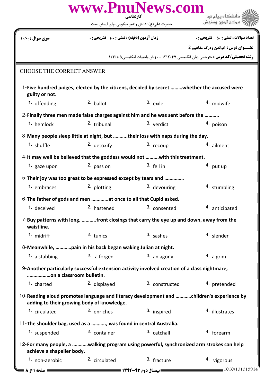|                                                                                                                                        |                                                                  | www.PnuNews.com<br>کارشناسی                                                                  |                                                                                         |  |
|----------------------------------------------------------------------------------------------------------------------------------------|------------------------------------------------------------------|----------------------------------------------------------------------------------------------|-----------------------------------------------------------------------------------------|--|
|                                                                                                                                        |                                                                  | حضرت علی(ع): دانش راهبر نیکویی برای ایمان است                                                |                                                                                         |  |
| <b>سری سوال :</b> یک ۱                                                                                                                 | زمان آزمون (دقیقه) : تستی : ۱۰۰٪ تشریحی : ۰                      |                                                                                              | <b>تعداد سوالات : تستي : 50 ٪ تشريحي : 0</b>                                            |  |
|                                                                                                                                        |                                                                  |                                                                                              | <b>عنـــوان درس :</b> خواندن ودرک مفاهیم 2                                              |  |
|                                                                                                                                        |                                                                  |                                                                                              | <b>رشته تحصیلی/کد درس :</b> مترجمی زبان انگلیسی ۱۲۱۲۰۴۷ - ، زبان وادبیات انگلیسی1۲۱۲۱۰۵ |  |
| <b>CHOOSE THE CORRECT ANSWER</b>                                                                                                       |                                                                  |                                                                                              |                                                                                         |  |
| guilty or not.                                                                                                                         |                                                                  | 1-Five hundred judges, elected by the citizens, decided by secret whether the accused were   |                                                                                         |  |
| 1. offending                                                                                                                           | $2.$ ballot                                                      | 3. exile                                                                                     | 4. midwife                                                                              |  |
|                                                                                                                                        |                                                                  | 2-Finally three men made false charges against him and he was sent before the                |                                                                                         |  |
| 1. hemlock                                                                                                                             | <sup>2.</sup> tribunal                                           | 3. verdict                                                                                   | 4. poison                                                                               |  |
|                                                                                                                                        |                                                                  | 3-Many people sleep little at night, but their loss with naps during the day.                |                                                                                         |  |
| 1. shuffle                                                                                                                             | <sup>2.</sup> detoxify                                           | 3. recoup                                                                                    | 4. ailment                                                                              |  |
|                                                                                                                                        |                                                                  | 4-It may well be believed that the goddess would not with this treatment.                    |                                                                                         |  |
| 1. gaze upon                                                                                                                           | 2. pass on                                                       | $3.$ fell in                                                                                 | 4. put up                                                                               |  |
|                                                                                                                                        | 5-Their joy was too great to be expressed except by tears and    |                                                                                              |                                                                                         |  |
| 1. embraces                                                                                                                            | <sup>2.</sup> plotting                                           | <sup>3.</sup> devouring                                                                      | $4.$ stumbling                                                                          |  |
|                                                                                                                                        | 6-The father of gods and men at once to all that Cupid asked.    |                                                                                              |                                                                                         |  |
| 1. deceived                                                                                                                            | 2. hastened                                                      | <sup>3.</sup> consented                                                                      | <sup>4</sup> anticipated                                                                |  |
| waistline.                                                                                                                             |                                                                  | 7-Buy patterns with long, front closings that carry the eye up and down, away from the       |                                                                                         |  |
| 1. midriff                                                                                                                             | 2. tunics                                                        | 3. sashes                                                                                    | <sup>4.</sup> slender                                                                   |  |
|                                                                                                                                        | 8-Meanwhile, pain in his back began waking Julian at night.      |                                                                                              |                                                                                         |  |
| 1. a stabbing                                                                                                                          | $2.$ a forged                                                    | $3.$ an agony                                                                                | $4.$ a grim                                                                             |  |
| on a classroom bulletin.                                                                                                               |                                                                  | 9-Another particularly successful extension activity involved creation of a class nightmare, |                                                                                         |  |
| 1. charted                                                                                                                             | <sup>2</sup> displayed                                           | 3. constructed                                                                               | 4. pretended                                                                            |  |
| 10-Reading aloud promotes language and literacy development and children's experience by<br>adding to their growing body of knowledge. |                                                                  |                                                                                              |                                                                                         |  |
| 1. circulated                                                                                                                          | <sup>2.</sup> enriches                                           | 3. inspired                                                                                  | 4. illustrates                                                                          |  |
|                                                                                                                                        | 11-The shoulder bag, used as a , was found in central Australia. |                                                                                              |                                                                                         |  |
| 1. suspended                                                                                                                           | 2. container                                                     | 3. catchall                                                                                  | 4. forearm                                                                              |  |
| 12-For many people, a walking program using powerful, synchronized arm strokes can help<br>achieve a shapelier body.                   |                                                                  |                                                                                              |                                                                                         |  |
| 1. non-aerobic                                                                                                                         | 2. circulated                                                    | 3. fracture                                                                                  | 4. vigorous                                                                             |  |
| = صفحه 11ز 8 =                                                                                                                         |                                                                  | ـــــــ نیمسال دوم ۹۳-۱۳۹۲ ـــــــــــ                                                       | $=$ 1010/101019914                                                                      |  |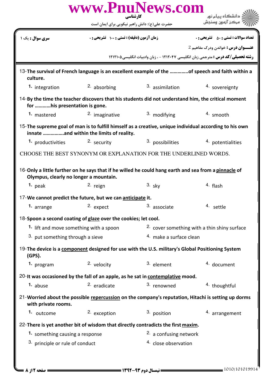| www.PnuNews.com<br>كارشناسي                                                                                                |                                                                         |                                                                                                                  |                                                                                                 |  |
|----------------------------------------------------------------------------------------------------------------------------|-------------------------------------------------------------------------|------------------------------------------------------------------------------------------------------------------|-------------------------------------------------------------------------------------------------|--|
|                                                                                                                            | حضرت علی(ع): دانش راهبر نیکویی برای ایمان است                           |                                                                                                                  |                                                                                                 |  |
| <b>سری سوال :</b> یک ۱                                                                                                     | زمان آزمون (دقيقه) : تستى : 100 تشريحي : 0                              |                                                                                                                  | <b>تعداد سوالات : تستي : 50 ٪ تشريحي : 0</b>                                                    |  |
|                                                                                                                            |                                                                         |                                                                                                                  | <b>عنـــوان درس :</b> خواندن ودرک مفاهیم 2                                                      |  |
|                                                                                                                            |                                                                         |                                                                                                                  | <b>رشته تحصیلی/کد درس :</b> مترجمی زبان انگلیسی ۱۲۱۲۰۴۷ - ، زبان وادبیات انگلیسی۲۱۲۱۰۵          |  |
| culture.                                                                                                                   |                                                                         |                                                                                                                  | 13- The survival of French language is an excellent example of the of speech and faith within a |  |
| 1. integration                                                                                                             | 2. absorbing                                                            | 3. assimilation                                                                                                  | 4. sovereignty                                                                                  |  |
| for his presentation is gone.                                                                                              |                                                                         | 14-By the time the teacher discovers that his students did not understand him, the critical moment               |                                                                                                 |  |
| 1. mastered                                                                                                                | 2. imaginative                                                          | 3. modifying                                                                                                     | 4. smooth                                                                                       |  |
|                                                                                                                            | innate and within the limits of reality.                                | 15-The supreme goal of man is to fulfill himself as a creative, unique individual according to his own           |                                                                                                 |  |
| 1. productivities                                                                                                          | 2. security                                                             | 3. possibilities                                                                                                 | 4. potentialities                                                                               |  |
|                                                                                                                            |                                                                         | CHOOSE THE BEST SYNONYM OR EXPLANATION FOR THE UNDERLINED WORDS.                                                 |                                                                                                 |  |
| Olympus, clearly no longer a mountain.<br>$1.$ peak                                                                        | $2.$ reign                                                              | 16-Only a little further on he says that if he willed he could hang earth and sea from a pinnacle of<br>$3.$ sky | 4. flash                                                                                        |  |
|                                                                                                                            |                                                                         |                                                                                                                  |                                                                                                 |  |
| 1. arrange                                                                                                                 | 17-We cannot predict the future, but we can anticipate it.<br>2. expect | 3. associate                                                                                                     | 4. settle                                                                                       |  |
|                                                                                                                            | 18-Spoon a second coating of glaze over the cookies; let cool.          |                                                                                                                  |                                                                                                 |  |
| 1. lift and move something with a spoon                                                                                    |                                                                         |                                                                                                                  | 2. cover something with a thin shiny surface                                                    |  |
| 3. put something through a sieve                                                                                           |                                                                         | 4. make a surface clean                                                                                          |                                                                                                 |  |
| (GPS).                                                                                                                     |                                                                         | 19-The device is a component designed for use with the U.S. military's Global Positioning System                 |                                                                                                 |  |
| 1. program                                                                                                                 | 2. velocity                                                             | 3. element                                                                                                       | 4. document                                                                                     |  |
|                                                                                                                            |                                                                         | 20-It was occasioned by the fall of an apple, as he sat in contemplative mood.                                   |                                                                                                 |  |
| $1.$ abuse                                                                                                                 | 2. eradicate                                                            | 3. renowned                                                                                                      | <sup>4</sup> thoughtful                                                                         |  |
| 21-Worried about the possible repercussion on the company's reputation, Hitachi is setting up dorms<br>with private rooms. |                                                                         |                                                                                                                  |                                                                                                 |  |
| 1. outcome                                                                                                                 | 2. exception                                                            | 3. position                                                                                                      | 4. arrangement                                                                                  |  |
|                                                                                                                            |                                                                         | 22-There is yet another bit of wisdom that directly contradicts the first maxim.                                 |                                                                                                 |  |
| 1. something causing a response                                                                                            |                                                                         | <sup>2.</sup> a confusing network                                                                                |                                                                                                 |  |
| 3. principle or rule of conduct                                                                                            |                                                                         | 4. close observation                                                                                             |                                                                                                 |  |
|                                                                                                                            |                                                                         |                                                                                                                  |                                                                                                 |  |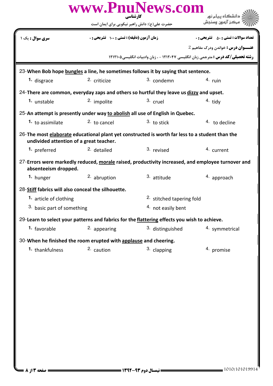|                                                                  |                                             | www.PnuNews.com<br>کارشناسی                                                                     | دانشگاه پیام نور                                                                                  |
|------------------------------------------------------------------|---------------------------------------------|-------------------------------------------------------------------------------------------------|---------------------------------------------------------------------------------------------------|
|                                                                  |                                             | حضرت علی(ع): دانش راهبر نیکویی برای ایمان است                                                   |                                                                                                   |
| <b>سری سوال :</b> یک ۱                                           | زمان آزمون (دقیقه) : تستی : ۱۰۰٪ تشریحی : ۰ |                                                                                                 | <b>تعداد سوالات : تستی : 50 ٪ تشریحی : 0</b>                                                      |
|                                                                  |                                             |                                                                                                 | <b>عنـــوان درس :</b> خواندن ودرک مفاهیم 2                                                        |
|                                                                  |                                             |                                                                                                 | <b>رشته تحصیلی/کد درس :</b> مترجمی زبان انگلیسی ۱۲۱۲۰۴۷ - ، زبان وادبیات انگلیسی1۲۱۲۱۰۵           |
|                                                                  |                                             | 23-When Bob hope bungles a line, he sometimes follows it by saying that sentence.               |                                                                                                   |
| 1. disgrace                                                      | 2. criticize                                | 3. condemn                                                                                      | $4.$ ruin                                                                                         |
|                                                                  |                                             | 24-There are common, everyday zaps and others so hurtful they leave us dizzy and upset.         |                                                                                                   |
| 1. unstable                                                      | 2. impolite                                 | 3. cruel                                                                                        | $4.$ tidy                                                                                         |
|                                                                  |                                             | 25-An attempt is presently under way to abolish all use of English in Quebec.                   |                                                                                                   |
| 1. to assimilate                                                 | $2.$ to cancel                              | $3.$ to stick                                                                                   | 4. to decline                                                                                     |
| undivided attention of a great teacher.                          |                                             | 26-The most elaborate educational plant yet constructed is worth far less to a student than the |                                                                                                   |
| 1. preferred                                                     | <sup>2.</sup> detailed                      | 3. revised                                                                                      | 4. current                                                                                        |
| absenteeism dropped.                                             |                                             |                                                                                                 | 27-Errors were markedly reduced, morale raised, productivity increased, and employee turnover and |
| 1. hunger                                                        | 2. abruption                                | <sup>3.</sup> attitude                                                                          | 4. approach                                                                                       |
| 28-Stiff fabrics will also conceal the silhouette.               |                                             |                                                                                                 |                                                                                                   |
| 1. article of clothing                                           |                                             | <sup>2.</sup> stitched tapering fold                                                            |                                                                                                   |
|                                                                  | 3. basic part of something                  |                                                                                                 |                                                                                                   |
|                                                                  |                                             | 29-Learn to select your patterns and fabrics for the flattering effects you wish to achieve.    |                                                                                                   |
| 1. favorable                                                     | 2. appearing                                | 3. distinguished                                                                                | 4. symmetrical                                                                                    |
| 30-When he finished the room erupted with applause and cheering. |                                             |                                                                                                 |                                                                                                   |
| 1. thankfulness                                                  | <sup>2.</sup> caution                       | 3. clapping                                                                                     | 4. promise                                                                                        |
|                                                                  |                                             |                                                                                                 |                                                                                                   |
|                                                                  |                                             |                                                                                                 |                                                                                                   |
|                                                                  |                                             |                                                                                                 |                                                                                                   |
|                                                                  |                                             |                                                                                                 |                                                                                                   |
|                                                                  |                                             |                                                                                                 |                                                                                                   |
|                                                                  |                                             |                                                                                                 |                                                                                                   |
|                                                                  |                                             |                                                                                                 |                                                                                                   |
|                                                                  |                                             |                                                                                                 |                                                                                                   |
|                                                                  |                                             |                                                                                                 |                                                                                                   |
|                                                                  |                                             |                                                                                                 |                                                                                                   |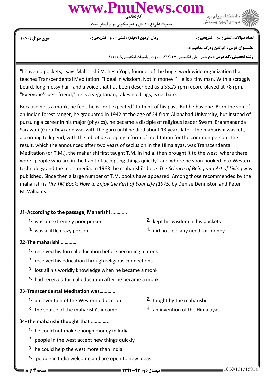# كارشناسي **[www.PnuNews.com](http://www.pnunews.com)**

حضرت علي(ع): دانش راهبر نيكويي براي ايمان است

نعداد سوالات : تستي : ۵۰ تشريحي : . زمان آزمون (دقيقه) : تستي : ۱۰۰ تشريحي : . سري سوال : يک 1

 $2\,$  عنـــوان درس : خواندن ودرک مفاهیم

**رشته تحصیلی/کد درس :** مترجمی زبان انگلیسی ۱۲۱۲۰۴۷ - ، زبان وادبیات انگلیسی۲۱۲۱۰۵

 $2.$  kept his wisdom in his pockets

 $4.$  did not feel any need for money

"I have no pockets," says Maharishi Mahesh Yogi, founder of the huge, worldwide organization that teaches Transcendental Meditation: "I deal in wisdom. Not in money." He is a tiny man. With a scraggly beard, long messy hair, and a voice that has been described as a 331/3-rpm record played at 78 rpm. "Everyone's best friend," he is a vegetarian, takes no drugs, is celibate.

Because he is a monk, he feels he is "not expected" to think of his past. But he has one. Born the son of an Indian forest ranger, he graduated in 1942 at the age of 24 from Allahabad University, but instead of pursuing a career in his major (physics), he became a disciple of religious leader Swami Brahmananda Sarawati (Guru Dev) and was with the guru until he died about 13 years later. The maharishi was left, according to legend, with the job of developing a form of meditation for the common person. The result, which the announced after two years of seclusion in the Himalayas, was Transcendental Meditation (or T.M.). the maharishi first taught T.M. in India, then brought it to the west, where there were "people who are in the habit of accepting things quickly" and where he soon hooked into Western technology and the mass media. In 1963 the maharishi's book The Science of Being and Art of Living was published. Since then a large number of T.M. books have appeared. Among those recommended by the maharishi is The TM Book: How to Enjoy the Rest of Your Life (1975) by Denise Denniston and Peter McWilliams.

#### 31-According to the passage, Maharishi ...........

- **1.** was an extremely poor person
- 3. was a little crazy person
- 32-The maharishi ............
	- 1. received his formal education before becoming a monk
	- <sup>2.</sup> received his education through religious connections
	- $3.$  lost all his worldly knowledge when he became a monk
	- $4.$  had received formal education after he became a monk

# 33-Transcendental Meditation was............

- **1.** an invention of the Western education **1.** 2. taught by the maharishi
- <sup>3.</sup> the source of the maharishi's income  $\frac{4.1}{10}$  an invention of the Himalayas
- 

## 34-The maharishi thought that ..............

- 1. he could not make enough money in India
- <sup>2.</sup> people in the west accept new things quickly
- $3.$  he could help the west more than India
- $4.$  people in India welcome and are open to new ideas

1010/101019914 -93 1392 نيمسال دوم 4 از 8 صفحه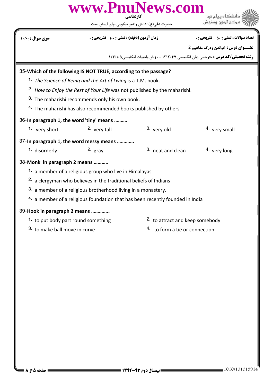|                                                                                                                                                                                                                                                                                                                                                            |                                            | www.PnuNews.com<br>کار شناسی<br>حضرت علی(ع): دانش راهبر نیکویی برای ایمان است                                                                                 |                                                                                            |
|------------------------------------------------------------------------------------------------------------------------------------------------------------------------------------------------------------------------------------------------------------------------------------------------------------------------------------------------------------|--------------------------------------------|---------------------------------------------------------------------------------------------------------------------------------------------------------------|--------------------------------------------------------------------------------------------|
| <b>سری سوال :</b> یک ۱                                                                                                                                                                                                                                                                                                                                     | زمان آزمون (دقیقه) : تستی ; 100 تشریحی ; . |                                                                                                                                                               | <b>تعداد سوالات : تستي : 50 ٪ تشريحي : 0</b><br><b>عنـــوان درس :</b> خواندن ودرک مفاهیم 2 |
|                                                                                                                                                                                                                                                                                                                                                            |                                            | رشته تحصیلی/کد درس : مترجمی زبان انگلیسی ۱۲۱۲۰۴۷ - ، زبان وادبیات انگلیسی۲۱۲۱۰۵                                                                               |                                                                                            |
| 35-Which of the following IS NOT TRUE, according to the passage?<br>1. The Science of Being and the Art of Living is a T.M. book.<br>3. The maharishi recommends only his own book.                                                                                                                                                                        |                                            | <sup>2.</sup> How to Enjoy the Rest of Your Life was not published by the maharishi.                                                                          |                                                                                            |
|                                                                                                                                                                                                                                                                                                                                                            |                                            | 4. The maharishi has also recommended books published by others.                                                                                              |                                                                                            |
| 36-In paragraph 1, the word 'tiny' means<br>1. very short                                                                                                                                                                                                                                                                                                  | 2. very tall                               | 3. very old                                                                                                                                                   | <sup>4.</sup> very small                                                                   |
| 37-In paragraph 1, the word messy means                                                                                                                                                                                                                                                                                                                    |                                            |                                                                                                                                                               |                                                                                            |
| 1. disorderly                                                                                                                                                                                                                                                                                                                                              | $2.$ gray                                  | 3. neat and clean                                                                                                                                             | 4. very long                                                                               |
| 38-Monk in paragraph 2 means<br>1. a member of a religious group who live in Himalayas<br><sup>2.</sup> a clergyman who believes in the traditional beliefs of Indians<br><sup>3.</sup> a member of a religious brotherhood living in a monastery.<br>39-Hook in paragraph 2 means<br>1. to put body part round something<br>3. to make ball move in curve |                                            | 4. a member of a religious foundation that has been recently founded in India<br><sup>2.</sup> to attract and keep somebody<br>4. to form a tie or connection |                                                                                            |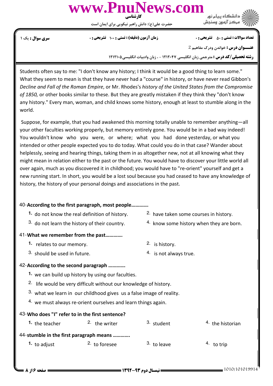# كارشناسي **[www.PnuNews.com](http://www.pnunews.com)**

حضرت علي(ع): دانش راهبر نيكويي براي ايمان است

نعداد سوالات : تستي : ۵۰ تشريحي : . زمان آزمون (دقيقه) : تستي : ۱۰۰ تشريحي : . سري سوال : يک 1

دانشگاه پيام نور مركز آزمون وسنجش

 $2\,$  عنـــوان درس : خواندن ودرک مفاهیم

**رشته تحصیلی/کد درس :** مترجمی زبان انگلیسی ۱۲۱۲۰۴۷ - ، زبان وادبیات انگلیسی۲۱۲۱۰۵

Students often say to me: "I don't know any history; I think it would be a good thing to learn some." What they seem to mean is that they have never had a "course" in history, or have never read Gibbon's Decline and Fall of the Roman Empire, or Mr. Rhodes's history of the United States from the Compromise of 1850, or other books similar to these. But they are greatly mistaken if they think they "don't know any history." Every man, woman, and child knows some history, enough at least to stumble along in the world.

 Suppose, for example, that you had awakened this morning totally unable to remember anything—all your other faculties working properly, but memory entirely gone. You would be in a bad way indeed! You wouldn't know who you were, or where; what you had done yesterday, or what you intended or other people expected you to do today. What could you do in that case? Wander about helplessly, seeing and hearing things, taking them in as altogether new, not at all knowing what they might mean in relation either to the past or the future. You would have to discover your little world all over again, much as you discovered it in childhood; you would have to "re-orient" yourself and get a new running start. In short, you would be a lost soul because you had ceased to have any knowledge of history, the history of your personal doings and associations in the past.

| 40-According to the first paragraph, most people                             |                         |                        |                                                   |                            |
|------------------------------------------------------------------------------|-------------------------|------------------------|---------------------------------------------------|----------------------------|
| 1. do not know the real definition of history.                               |                         |                        | <sup>2.</sup> have taken some courses in history. |                            |
| 3. do not learn the history of their country.                                |                         |                        | 4. know some history when they are born.          |                            |
| 41-What we remember from the past                                            |                         |                        |                                                   |                            |
| 1. relates to our memory.                                                    |                         | 2. is history.         |                                                   |                            |
| 3. should be used in future.                                                 |                         | 4. is not always true. |                                                   |                            |
| 42-According to the second paragraph                                         |                         |                        |                                                   |                            |
| 1. we can build up history by using our faculties.                           |                         |                        |                                                   |                            |
| <sup>2.</sup> life would be very difficult without our knowledge of history. |                         |                        |                                                   |                            |
| 3. what we learn in our childhood gives us a false image of reality.         |                         |                        |                                                   |                            |
| 4. we must always re-orient ourselves and learn things again.                |                         |                        |                                                   |                            |
| 43-Who does "I" refer to in the first sentence?                              |                         |                        |                                                   |                            |
| 1. the teacher                                                               | <sup>2</sup> the writer |                        | 3. student                                        | <sup>4</sup> the historian |
| 44-stumble in the first paragraph means                                      |                         |                        |                                                   |                            |
| <sup>1</sup> to adjust                                                       | <sup>2</sup> to foresee |                        | 3. to leave                                       | 4. to trip                 |
|                                                                              |                         |                        |                                                   |                            |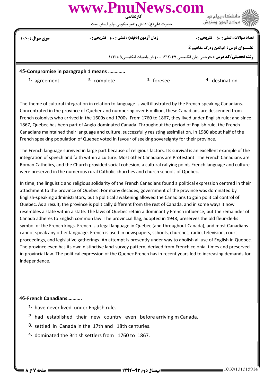|                        | <u>W W W.L HULINGWS.CUIH</u><br><b>کارشناسی</b><br>حضرت علی(ع): دانش راهبر نیکویی برای ایمان است | ے ۔<br>کا اللہ کا اسلام ہے کہ اس کے مطابق کرنے کے ان کا اس کے اس کے اس کے اس کے اس کے ان کا ان کا ان کا ان کا ان کا ا<br>کا اس کا ان کا ان کا ان کا ان کا ان کا ان کا ان کا ان کا ان کا ان کا ان کا ان کا ان کا ان کا ان کا ان کا ا |
|------------------------|--------------------------------------------------------------------------------------------------|-------------------------------------------------------------------------------------------------------------------------------------------------------------------------------------------------------------------------------------|
| <b>سری سوال :</b> یک ۱ | زمان آزمون (دقیقه) : تستی : 100 تشریحی : 0                                                       | <b>تعداد سوالات : تستي : 50 ٪ تشريحي : 0</b>                                                                                                                                                                                        |
|                        |                                                                                                  | <b>عنـــوان درس :</b> خواندن ودرک مفاهیم 2                                                                                                                                                                                          |
|                        | <b>رشته تحصیلی/کد درس :</b> مترجمی زبان انگلیسی ۱۲۱۲۰۴۷ - ، زبان وادبیات انگلیسی1۲۱۲۱۰۵          |                                                                                                                                                                                                                                     |
|                        | 45-Compromise in paragraph 1 means                                                               |                                                                                                                                                                                                                                     |

WWW.PnuNews.com

The theme of cultural integration in relation to language is well illustrated by the French-speaking Canadians. Concentrated in the province of Quebec and numbering over 6 million, these Canadians are descended from French colonists who arrived in the 1600s and 1700s. From 1760 to 1867, they lived under English rule; and since 1867, Quebec has been part of Anglo-dominated Canada. Throughout the period of English rule, the French Canadians maintained their language and culture, successfully resisting assimilation. In 1980 about half of the French speaking population of Quebec voted in favour of seeking sovereignty for their province.

**1.** agreement and the complete of the section of the section of the section of the section of the section of the section of the section of the section of the section of the section of the section of the section of the sec

The French language survived in large part because of religious factors. Its survival is an excellent example of the integration of speech and faith within a culture. Most other Canadians are Protestant. The French Canadians are Roman Catholics, and the Church provided social cohesion, a cultural rallying point. French language and culture were preserved in the numerous rural Catholic churches and church schools of Quebec.

In time, the linguistic and religious solidarity of the French Canadians found a political expression centred in their attachment to the province of Quebec. For many decades, government of the province was dominated by English-speaking administrators, but a political awakening allowed the Canadians to gain political control of Quebec. As a result, the province is politically different from the rest of Canada, and in some ways it now resembles a state within a state. The laws of Quebec retain a dominantly French influence, but the remainder of Canada adheres to English common law. The provincial flag, adopted in 1948, preserves the old fleur-de-lis symbol of the French kings. French is a legal language in Quebec (and throughout Canada), and most Canadians cannot speak any other language. French is used in newspapers, schools, churches, radio, television, court proceedings, and legislative gatherings. An attempt is presently under way to abolish all use of English in Quebec. The province even has its own distinctive land-survey pattern, derived from French colonial times and preserved in provincial law. The political expression of the Quebec French has in recent years led to increasing demands for independence.

# 46-French Canadians...........

- 1. have never lived under English rule.
- <sup>2.</sup> had established their new country even before arriving m Canada.
- $3.$  settled in Canada in the 17th and 18th centuries.
- $4.$  dominated the British settlers from 1760 to 1867.